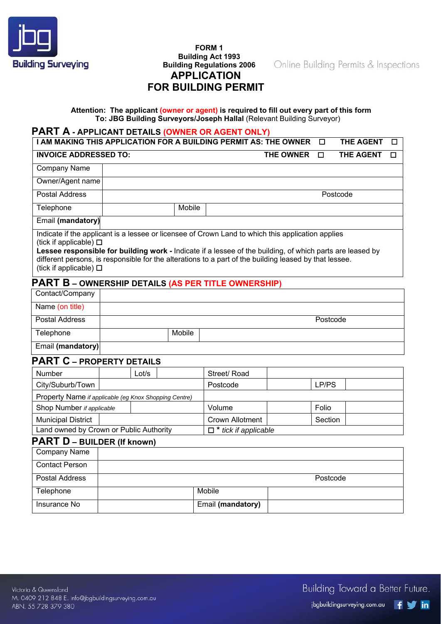

# **FORM 1 Building Act 1993 Building Regulations 2006 APPLICATION FOR BUILDING PERMIT**

Online Building Permits & Inspections

# **Attention: The applicant (owner or agent) is required to fill out every part of this form To: JBG Building Surveyors/Joseph Hallal** (Relevant Building Surveyor)

# **PART A - APPLICANT DETAILS (OWNER OR AGENT ONLY)**

**Insurance No example 2 C Email (mandatory)** 

| I AM MAKING THIS APPLICATION FOR A BUILDING PERMIT AS: THE OWNER<br><b>THE AGENT</b><br>□<br>□                                                                                                                                                                                                                                                                                               |                                                            |        |                             |                  |          |                  |   |
|----------------------------------------------------------------------------------------------------------------------------------------------------------------------------------------------------------------------------------------------------------------------------------------------------------------------------------------------------------------------------------------------|------------------------------------------------------------|--------|-----------------------------|------------------|----------|------------------|---|
| <b>INVOICE ADDRESSED TO:</b>                                                                                                                                                                                                                                                                                                                                                                 |                                                            |        |                             | <b>THE OWNER</b> | $\Box$   | <b>THE AGENT</b> | □ |
| Company Name                                                                                                                                                                                                                                                                                                                                                                                 |                                                            |        |                             |                  |          |                  |   |
| Owner/Agent name                                                                                                                                                                                                                                                                                                                                                                             |                                                            |        |                             |                  |          |                  |   |
| <b>Postal Address</b>                                                                                                                                                                                                                                                                                                                                                                        |                                                            |        |                             |                  | Postcode |                  |   |
| Telephone                                                                                                                                                                                                                                                                                                                                                                                    |                                                            | Mobile |                             |                  |          |                  |   |
| Email (mandatory)                                                                                                                                                                                                                                                                                                                                                                            |                                                            |        |                             |                  |          |                  |   |
| Indicate if the applicant is a lessee or licensee of Crown Land to which this application applies<br>(tick if applicable) $\square$<br>Lessee responsible for building work - Indicate if a lessee of the building, of which parts are leased by<br>different persons, is responsible for the alterations to a part of the building leased by that lessee.<br>(tick if applicable) $\square$ |                                                            |        |                             |                  |          |                  |   |
|                                                                                                                                                                                                                                                                                                                                                                                              | <b>PART B - OWNERSHIP DETAILS (AS PER TITLE OWNERSHIP)</b> |        |                             |                  |          |                  |   |
| Contact/Company                                                                                                                                                                                                                                                                                                                                                                              |                                                            |        |                             |                  |          |                  |   |
| Name (on title)                                                                                                                                                                                                                                                                                                                                                                              |                                                            |        |                             |                  |          |                  |   |
| <b>Postal Address</b>                                                                                                                                                                                                                                                                                                                                                                        |                                                            |        |                             |                  | Postcode |                  |   |
| Telephone                                                                                                                                                                                                                                                                                                                                                                                    |                                                            | Mobile |                             |                  |          |                  |   |
| Email (mandatory)                                                                                                                                                                                                                                                                                                                                                                            |                                                            |        |                             |                  |          |                  |   |
| <b>PART C - PROPERTY DETAILS</b>                                                                                                                                                                                                                                                                                                                                                             |                                                            |        |                             |                  |          |                  |   |
| Number                                                                                                                                                                                                                                                                                                                                                                                       | Lot/s                                                      |        | Street/Road                 |                  |          |                  |   |
| City/Suburb/Town                                                                                                                                                                                                                                                                                                                                                                             |                                                            |        | Postcode                    |                  | LP/PS    |                  |   |
|                                                                                                                                                                                                                                                                                                                                                                                              | Property Name if applicable (eg Knox Shopping Centre)      |        |                             |                  |          |                  |   |
| Shop Number if applicable                                                                                                                                                                                                                                                                                                                                                                    |                                                            |        | Volume                      |                  | Folio    |                  |   |
| <b>Municipal District</b>                                                                                                                                                                                                                                                                                                                                                                    |                                                            |        | <b>Crown Allotment</b>      |                  | Section  |                  |   |
|                                                                                                                                                                                                                                                                                                                                                                                              | Land owned by Crown or Public Authority                    |        | $\Box$ * tick if applicable |                  |          |                  |   |
| <b>PART D - BUILDER (If known)</b><br><b>Company Name</b>                                                                                                                                                                                                                                                                                                                                    |                                                            |        |                             |                  |          |                  |   |
| <b>Contact Person</b>                                                                                                                                                                                                                                                                                                                                                                        |                                                            |        |                             |                  |          |                  |   |
|                                                                                                                                                                                                                                                                                                                                                                                              |                                                            |        |                             |                  |          |                  |   |
| <b>Postal Address</b>                                                                                                                                                                                                                                                                                                                                                                        |                                                            |        |                             |                  | Postcode |                  |   |
| Telephone                                                                                                                                                                                                                                                                                                                                                                                    |                                                            |        | Mobile                      |                  |          |                  |   |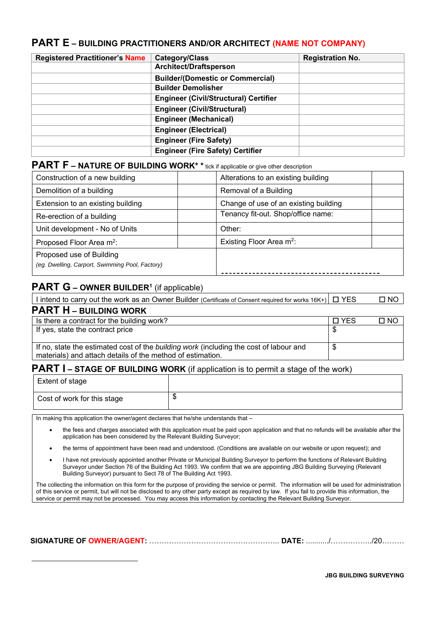# **PART E – BUILDING PRACTITIONERS AND/OR ARCHITECT (NAME NOT COMPANY)**

| <b>Registered Practitioner's Name</b> | Category/Class                               | <b>Registration No.</b> |
|---------------------------------------|----------------------------------------------|-------------------------|
|                                       | <b>Architect/Draftsperson</b>                |                         |
|                                       | <b>Builder/(Domestic or Commercial)</b>      |                         |
|                                       | <b>Builder Demolisher</b>                    |                         |
|                                       | <b>Engineer (Civil/Structural) Certifier</b> |                         |
|                                       | <b>Engineer (Civil/Structural)</b>           |                         |
|                                       | <b>Engineer (Mechanical)</b>                 |                         |
|                                       | <b>Engineer (Electrical)</b>                 |                         |
|                                       | <b>Engineer (Fire Safety)</b>                |                         |
|                                       | <b>Engineer (Fire Safety) Certifier</b>      |                         |

# **PART F – NATURE OF BUILDING WORK\*** \* tick if applicable or give other description

| Construction of a new building                  | Alterations to an existing building   |
|-------------------------------------------------|---------------------------------------|
| Demolition of a building                        | Removal of a Building                 |
| Extension to an existing building               | Change of use of an existing building |
| Re-erection of a building                       | Tenancy fit-out. Shop/office name:    |
| Unit development - No of Units                  | Other:                                |
| Proposed Floor Area m <sup>2</sup> :            | Existing Floor Area m <sup>2</sup> :  |
| Proposed use of Building                        |                                       |
| (eg. Dwelling, Carport, Swimming Pool, Factory) |                                       |
|                                                 |                                       |

# **PART G – OWNER BUILDER<sup>1</sup> (if applicable)**

 $\overline{a}$ 

| I intend to carry out the work as an Owner Builder (Certificate of Consent required for works 16K+) $\Box$ YES | $\square$ NO |
|----------------------------------------------------------------------------------------------------------------|--------------|
| <b>PART H - BUILDING WORK</b>                                                                                  |              |

| Is there a contract for the building work?                                             | $\Box$ YES | $\square$ NO |
|----------------------------------------------------------------------------------------|------------|--------------|
| If yes, state the contract price                                                       |            |              |
|                                                                                        |            |              |
| If no, state the estimated cost of the building work (including the cost of labour and |            |              |
| materials) and attach details of the method of estimation.                             |            |              |

# **PART I – STAGE OF BUILDING WORK** (if application is to permit a stage of the work)

| Extent of stage             |  |
|-----------------------------|--|
| Cost of work for this stage |  |

In making this application the owner/agent declares that he/she understands that -

- the fees and charges associated with this application must be paid upon application and that no refunds will be available after the application has been considered by the Relevant Building Surveyor;
- the terms of appointment have been read and understood. (Conditions are available on our website or upon request); and
- I have not previously appointed another Private or Municipal Building Surveyor to perform the functions of Relevant Building Surveyor under Section 76 of the Building Act 1993. We confirm that we are appointing JBG Building Surveying (Relevant Building Surveyor) pursuant to Sect 78 of The Building Act 1993.

The collecting the information on this form for the purpose of providing the service or permit. The information will be used for administration of this service or permit, but will not be disclosed to any other party except as required by law. If you fail to provide this information, the service or permit may not be processed. You may access this information by contacting the Relevant Building Surveyor.

 **SIGNATURE OF OWNER/AGENT:** …………………………………………….. **DATE:** .........../……………../20………

 **JBG BUILDING SURVEYING**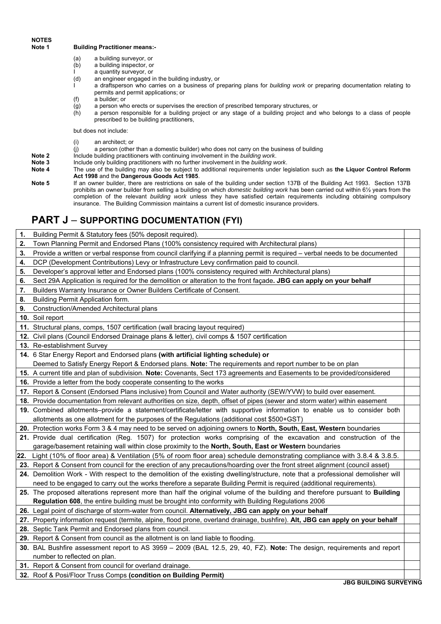# **Building Practitioner means:-**

- (a) a building surveyor, or
- (b) a building inspector, or
- I a quantity surveyor, or<br>(d) an engineer engaged i
- an engineer engaged in the building industry, or
- I a draftsperson who carries on a business of preparing plans for *building work* or preparing documentation relating to permits and permit applications; or
- (f) a builder; or
- (g) a person who erects or supervises the erection of prescribed temporary structures, or
- (h) a person responsible for a building project or any stage of a building project and who belongs to a class of people prescribed to be building practitioners,

but does not include:

- (i) an architect; or
- (j) a person (other than a domestic builder) who does not carry on the business of building
- **Note 2** Include building practitioners with continuing involvement in the *building work*.<br>**Note 3** Include only building practitioners with no further involvement in the *building w* 
	- **Note 3** Include only building practitioners with no further involvement in the *building work*.
- **Note 4** The use of the building may also be subject to additional requirements under legislation such as **the Liquor Control Reform Act 1998** and the **Dangerous Goods Act 1985**.
- **Note 5** If an owner builder, there are restrictions on sale of the building under section 137B of the Building Act 1993. Section 137B prohibits an owner builder from selling a building on which *domestic building work* has been carried out within 6½ years from the completion of the relevant *building work* unless they have satisfied certain requirements including obtaining compulsory insurance. The Building Commission maintains a current list of domestic insurance providers.

# **PART J** – **SUPPORTING DOCUMENTATION (FYI)**

| 1. | Building Permit & Statutory fees (50% deposit required).                                                                          |  |
|----|-----------------------------------------------------------------------------------------------------------------------------------|--|
| 2. | Town Planning Permit and Endorsed Plans (100% consistency required with Architectural plans)                                      |  |
| 3. | Provide a written or verbal response from council clarifying if a planning permit is required – verbal needs to be documented     |  |
| 4. | DCP (Development Contributions) Levy or Infrastructure Levy confirmation paid to council.                                         |  |
| 5. | Developer's approval letter and Endorsed plans (100% consistency required with Architectural plans)                               |  |
| 6. | Sect 29A Application is required for the demolition or alteration to the front façade. JBG can apply on your behalf               |  |
| 7. | Builders Warranty Insurance or Owner Builders Certificate of Consent.                                                             |  |
| 8. | Building Permit Application form.                                                                                                 |  |
| 9. | Construction/Amended Architectural plans                                                                                          |  |
|    | 10. Soil report                                                                                                                   |  |
|    | 11. Structural plans, comps, 1507 certification (wall bracing layout required)                                                    |  |
|    | 12. Civil plans (Council Endorsed Drainage plans & letter), civil comps & 1507 certification                                      |  |
|    | 13. Re-establishment Survey                                                                                                       |  |
|    | 14. 6 Star Energy Report and Endorsed plans (with artificial lighting schedule) or                                                |  |
|    | Deemed to Satisfy Energy Report & Endorsed plans. Note: The requirements and report number to be on plan                          |  |
|    | 15. A current title and plan of subdivision. Note: Covenants, Sect 173 agreements and Easements to be provided/considered         |  |
|    | 16. Provide a letter from the body cooperate consenting to the works                                                              |  |
|    | 17. Report & Consent (Endorsed Plans inclusive) from Council and Water authority (SEW/YVW) to build over easement.                |  |
|    | 18. Provide documentation from relevant authorities on size, depth, offset of pipes (sewer and storm water) within easement       |  |
|    | 19. Combined allotments-provide a statement/certificate/letter with supportive information to enable us to consider both          |  |
|    | allotments as one allotment for the purposes of the Regulations (additional cost \$500+GST)                                       |  |
|    | 20. Protection works Form 3 & 4 may need to be served on adjoining owners to North, South, East, Western boundaries               |  |
|    | 21. Provide dual certification (Reg. 1507) for protection works comprising of the excavation and construction of the              |  |
|    | garage/basement retaining wall within close proximity to the North, South, East or Western boundaries                             |  |
|    | 22. Light (10% of floor area) & Ventilation (5% of room floor area) schedule demonstrating compliance with 3.8.4 & 3.8.5.         |  |
|    | 23. Report & Consent from council for the erection of any precautions/hoarding over the front street alignment (council asset)    |  |
|    | 24. Demolition Work - With respect to the demolition of the existing dwelling/structure, note that a professional demolisher will |  |
|    | need to be engaged to carry out the works therefore a separate Building Permit is required (additional requirements).             |  |
|    | 25. The proposed alterations represent more than half the original volume of the building and therefore pursuant to Building      |  |
|    | Regulation 608, the entire building must be brought into conformity with Building Regulations 2006                                |  |
|    | 26. Legal point of discharge of storm-water from council. Alternatively, JBG can apply on your behalf                             |  |
|    | 27. Property information request (termite, alpine, flood prone, overland drainage, bushfire). Alt, JBG can apply on your behalf   |  |
|    | 28. Septic Tank Permit and Endorsed plans from council.                                                                           |  |
|    | 29. Report & Consent from council as the allotment is on land liable to flooding.                                                 |  |
|    | 30. BAL Bushfire assessment report to AS 3959 - 2009 (BAL 12.5, 29, 40, FZ). Note: The design, requirements and report            |  |
|    | number to reflected on plan.                                                                                                      |  |
|    | 31. Report & Consent from council for overland drainage.                                                                          |  |

**32.** Roof & Posi/Floor Truss Comps **(condition on Building Permit)**